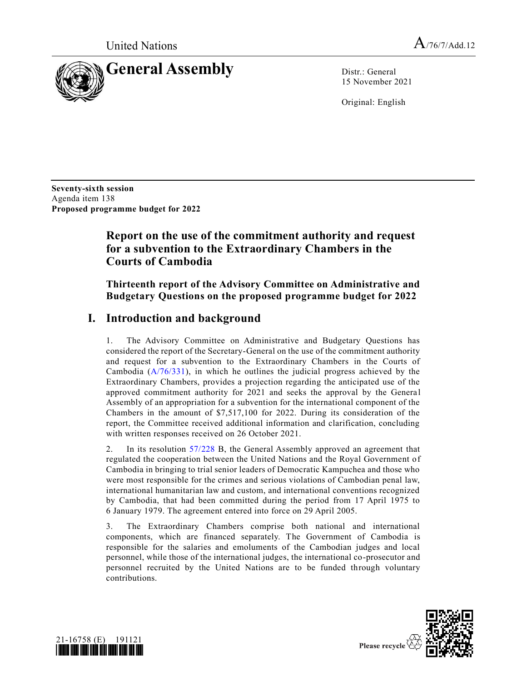

15 November 2021

Original: English

**Seventy-sixth session** Agenda item 138 **Proposed programme budget for 2022**

# **Report on the use of the commitment authority and request for a subvention to the Extraordinary Chambers in the Courts of Cambodia**

### **Thirteenth report of the Advisory Committee on Administrative and Budgetary Questions on the proposed programme budget for 2022**

# **I. Introduction and background**

1. The Advisory Committee on Administrative and Budgetary Questions has considered the report of the Secretary-General on the use of the commitment authority and request for a subvention to the Extraordinary Chambers in the Courts of Cambodia [\(A/76/331\)](https://undocs.org/en/A/76/331), in which he outlines the judicial progress achieved by the Extraordinary Chambers, provides a projection regarding the anticipated use of the approved commitment authority for 2021 and seeks the approval by the General Assembly of an appropriation for a subvention for the international component of the Chambers in the amount of \$7,517,100 for 2022. During its consideration of the report, the Committee received additional information and clarification, concluding with written responses received on 26 October 2021.

2. In its resolution [57/228](https://undocs.org/en/A/RES/57/228b) B, the General Assembly approved an agreement that regulated the cooperation between the United Nations and the Royal Government of Cambodia in bringing to trial senior leaders of Democratic Kampuchea and those who were most responsible for the crimes and serious violations of Cambodian penal law, international humanitarian law and custom, and international conventions recognized by Cambodia, that had been committed during the period from 17 April 1975 to 6 January 1979. The agreement entered into force on 29 April 2005.

3. The Extraordinary Chambers comprise both national and international components, which are financed separately. The Government of Cambodia is responsible for the salaries and emoluments of the Cambodian judges and local personnel, while those of the international judges, the international co-prosecutor and personnel recruited by the United Nations are to be funded through voluntary contributions.



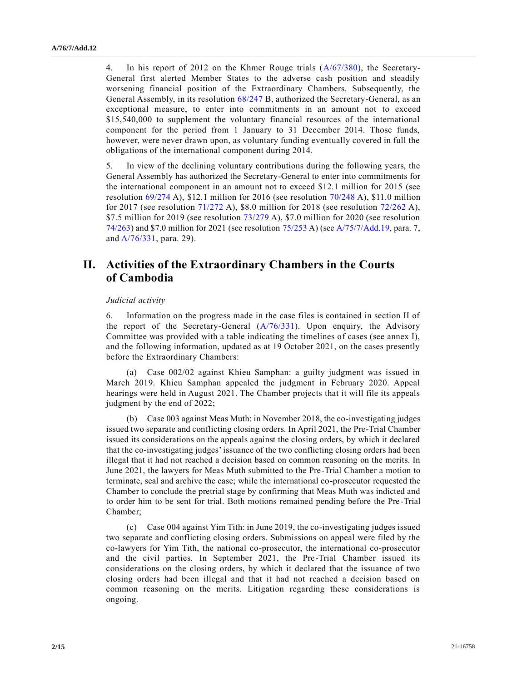4. In his report of 2012 on the Khmer Rouge trials [\(A/67/380\)](https://undocs.org/en/A/67/380), the Secretary-General first alerted Member States to the adverse cash position and steadily worsening financial position of the Extraordinary Chambers. Subsequently, the General Assembly, in its resolution [68/247](https://undocs.org/en/A/RES/68/247b) B, authorized the Secretary-General, as an exceptional measure, to enter into commitments in an amount not to exceed \$15,540,000 to supplement the voluntary financial resources of the international component for the period from 1 January to 31 December 2014. Those funds, however, were never drawn upon, as voluntary funding eventually covered in full the obligations of the international component during 2014.

5. In view of the declining voluntary contributions during the following years, the General Assembly has authorized the Secretary-General to enter into commitments for the international component in an amount not to exceed \$12.1 million for 2015 (see resolution [69/274](https://undocs.org/en/A/RES/69/274) A), \$12.1 million for 2016 (see resolution [70/248](https://undocs.org/en/A/RES/70/248) A), \$11.0 million for 2017 (see resolution [71/272](https://undocs.org/en/A/RES/71/272) A), \$8.0 million for 2018 (see resolution [72/262](https://undocs.org/en/A/RES/72/262) A), \$7.5 million for 2019 (see resolution  $73/279$  A), \$7.0 million for 2020 (see resolution [74/263\)](https://undocs.org/en/A/RES/74/263) and \$7.0 million for 2021 (see resolution [75/253](https://undocs.org/en/A/RES/75/253) A) (see [A/75/7/Add.19,](https://undocs.org/en/A/75/7/Add.19) para. 7, and [A/76/331,](https://undocs.org/en/A/76/331) para. 29).

### **II. Activities of the Extraordinary Chambers in the Courts of Cambodia**

#### *Judicial activity*

6. Information on the progress made in the case files is contained in section II of the report of the Secretary-General [\(A/76/331\)](https://undocs.org/en/A/76/331). Upon enquiry, the Advisory Committee was provided with a table indicating the timelines of cases (see annex I), and the following information, updated as at 19 October 2021, on the cases presently before the Extraordinary Chambers:

(a) Case 002/02 against Khieu Samphan: a guilty judgment was issued in March 2019. Khieu Samphan appealed the judgment in February 2020. Appeal hearings were held in August 2021. The Chamber projects that it will file its appeals judgment by the end of 2022;

(b) Case 003 against Meas Muth: in November 2018, the co-investigating judges issued two separate and conflicting closing orders. In April 2021, the Pre-Trial Chamber issued its considerations on the appeals against the closing orders, by which it declared that the co-investigating judges' issuance of the two conflicting closing orders had been illegal that it had not reached a decision based on common reasoning on the merits. In June 2021, the lawyers for Meas Muth submitted to the Pre-Trial Chamber a motion to terminate, seal and archive the case; while the international co-prosecutor requested the Chamber to conclude the pretrial stage by confirming that Meas Muth was indicted and to order him to be sent for trial. Both motions remained pending before the Pre-Trial Chamber;

(c) Case 004 against Yim Tith: in June 2019, the co-investigating judges issued two separate and conflicting closing orders. Submissions on appeal were filed by the co-lawyers for Yim Tith, the national co-prosecutor, the international co-prosecutor and the civil parties. In September 2021, the Pre-Trial Chamber issued its considerations on the closing orders, by which it declared that the issuance of two closing orders had been illegal and that it had not reached a decision based on common reasoning on the merits. Litigation regarding these considerations is ongoing.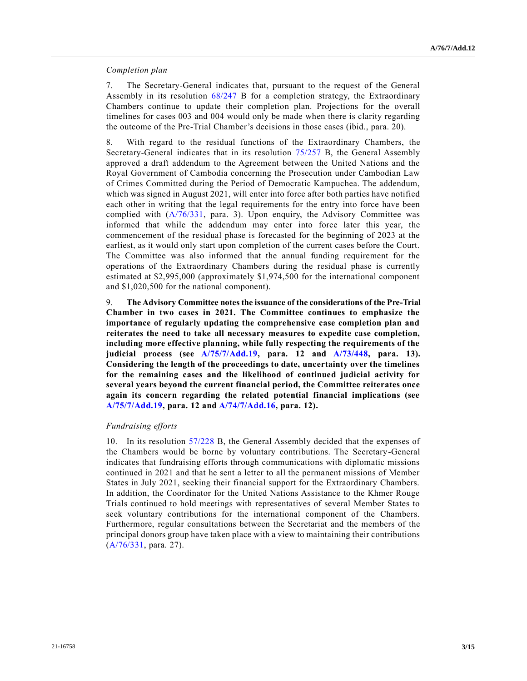#### *Completion plan*

7. The Secretary-General indicates that, pursuant to the request of the General Assembly in its resolution [68/247](https://undocs.org/en/A/RES/68/247b) B for a completion strategy, the Extraordinary Chambers continue to update their completion plan. Projections for the overall timelines for cases 003 and 004 would only be made when there is clarity regarding the outcome of the Pre-Trial Chamber's decisions in those cases (ibid., para. 20).

8. With regard to the residual functions of the Extraordinary Chambers, the Secretary-General indicates that in its resolution [75/257](https://undocs.org/en/A/RES/75/257b) B, the General Assembly approved a draft addendum to the Agreement between the United Nations and the Royal Government of Cambodia concerning the Prosecution under Cambodian Law of Crimes Committed during the Period of Democratic Kampuchea. The addendum, which was signed in August 2021, will enter into force after both parties have notified each other in writing that the legal requirements for the entry into force have been complied with [\(A/76/331,](https://undocs.org/en/A/76/331) para. 3). Upon enquiry, the Advisory Committee was informed that while the addendum may enter into force later this year, the commencement of the residual phase is forecasted for the beginning of 2023 at the earliest, as it would only start upon completion of the current cases before the Court. The Committee was also informed that the annual funding requirement for the operations of the Extraordinary Chambers during the residual phase is currently estimated at \$2,995,000 (approximately \$1,974,500 for the international component and \$1,020,500 for the national component).

9. **The Advisory Committee notes the issuance of the considerations of the Pre-Trial Chamber in two cases in 2021. The Committee continues to emphasize the importance of regularly updating the comprehensive case completion plan and reiterates the need to take all necessary measures to expedite case completion, including more effective planning, while fully respecting the requirements of the judicial process (see [A/75/7/Add.19,](https://undocs.org/en/A/75/7/Add.19) para. 12 and [A/73/448,](https://undocs.org/en/A/73/448) para. 13). Considering the length of the proceedings to date, uncertainty over the timelines for the remaining cases and the likelihood of continued judicial activity for several years beyond the current financial period, the Committee reiterates once again its concern regarding the related potential financial implications (see [A/75/7/Add.19,](https://undocs.org/en/A/75/7/Add.19) para. 12 and [A/74/7/Add.16,](https://undocs.org/en/A/74/7/Add.16) para. 12).**

#### *Fundraising efforts*

10. In its resolution [57/228](https://undocs.org/en/A/RES/57/228b) B, the General Assembly decided that the expenses of the Chambers would be borne by voluntary contributions. The Secretary-General indicates that fundraising efforts through communications with diplomatic missions continued in 2021 and that he sent a letter to all the permanent missions of Member States in July 2021, seeking their financial support for the Extraordinary Chambers. In addition, the Coordinator for the United Nations Assistance to the Khmer Rouge Trials continued to hold meetings with representatives of several Member States to seek voluntary contributions for the international component of the Chambers. Furthermore, regular consultations between the Secretariat and the members of the principal donors group have taken place with a view to maintaining their contributions [\(A/76/331,](https://undocs.org/en/A/76/331) para. 27).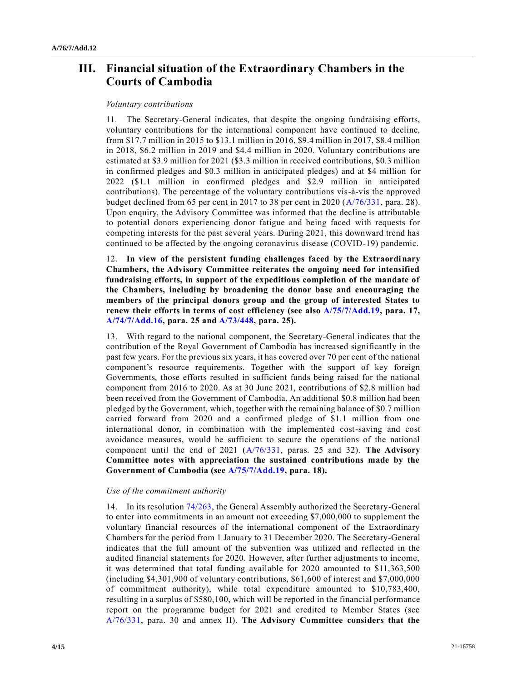# **III. Financial situation of the Extraordinary Chambers in the Courts of Cambodia**

### *Voluntary contributions*

11. The Secretary-General indicates, that despite the ongoing fundraising efforts, voluntary contributions for the international component have continued to decline, from \$17.7 million in 2015 to \$13.1 million in 2016, \$9.4 million in 2017, \$8.4 million in 2018, \$6.2 million in 2019 and \$4.4 million in 2020. Voluntary contributions are estimated at \$3.9 million for 2021 (\$3.3 million in received contributions, \$0.3 million in confirmed pledges and \$0.3 million in anticipated pledges) and at \$4 million for 2022 (\$1.1 million in confirmed pledges and \$2.9 million in anticipated contributions). The percentage of the voluntary contributions vis-à-vis the approved budget declined from 65 per cent in 2017 to 38 per cent in 2020 [\(A/76/331,](https://undocs.org/en/A/76/331) para. 28). Upon enquiry, the Advisory Committee was informed that the decline is attributable to potential donors experiencing donor fatigue and being faced with requests for competing interests for the past several years. During 2021, this downward trend has continued to be affected by the ongoing coronavirus disease (COVID-19) pandemic.

12. **In view of the persistent funding challenges faced by the Extraordinary Chambers, the Advisory Committee reiterates the ongoing need for intensified fundraising efforts, in support of the expeditious completion of the mandate of the Chambers, including by broadening the donor base and encouraging the members of the principal donors group and the group of interested States to renew their efforts in terms of cost efficiency (see also [A/75/7/Add.19,](https://undocs.org/en/A/75/7/Add.19) para. 17, [A/74/7/Add.16,](https://undocs.org/en/A/74/7/Add.16) para. 25 and [A/73/448,](https://undocs.org/en/A/73/448) para. 25).**

13. With regard to the national component, the Secretary-General indicates that the contribution of the Royal Government of Cambodia has increased significantly in the past few years. For the previous six years, it has covered over 70 per cent of the national component's resource requirements. Together with the support of key foreign Governments, those efforts resulted in sufficient funds being raised for the national component from 2016 to 2020. As at 30 June 2021, contributions of \$2.8 million had been received from the Government of Cambodia. An additional \$0.8 million had been pledged by the Government, which, together with the remaining balance of \$0.7 million carried forward from 2020 and a confirmed pledge of \$1.1 million from one international donor, in combination with the implemented cost-saving and cost avoidance measures, would be sufficient to secure the operations of the national component until the end of 2021 [\(A/76/331,](https://undocs.org/en/A/76/331) paras. 25 and 32). **The Advisory Committee notes with appreciation the sustained contributions made by the Government of Cambodia (see [A/75/7/Add.19,](https://undocs.org/en/A/75/7/Add.19) para. 18).**

### *Use of the commitment authority*

14. In its resolution [74/263,](https://undocs.org/en/A/RES/74/263) the General Assembly authorized the Secretary-General to enter into commitments in an amount not exceeding \$7,000,000 to supplement the voluntary financial resources of the international component of the Extraordinary Chambers for the period from 1 January to 31 December 2020. The Secretary-General indicates that the full amount of the subvention was utilized and reflected in the audited financial statements for 2020. However, after further adjustments to income, it was determined that total funding available for 2020 amounted to \$11,363,500 (including \$4,301,900 of voluntary contributions, \$61,600 of interest and \$7,000,000 of commitment authority), while total expenditure amounted to \$10,783,400, resulting in a surplus of \$580,100, which will be reported in the financial performance report on the programme budget for 2021 and credited to Member States (see [A/76/331,](https://undocs.org/en/A/76/331) para. 30 and annex II). **The Advisory Committee considers that the**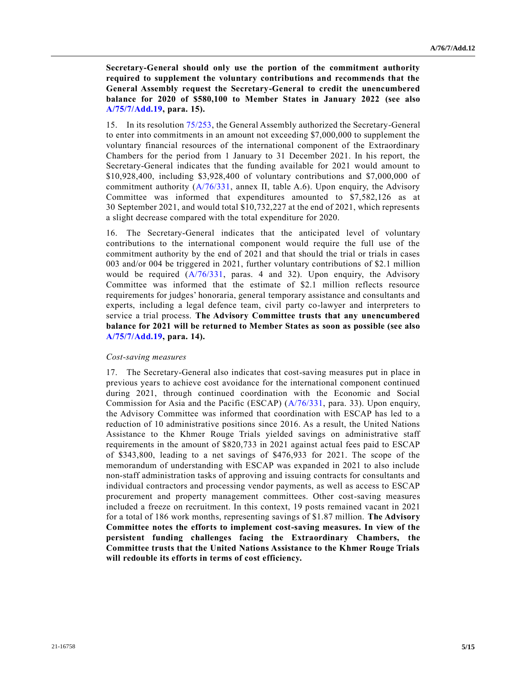**Secretary-General should only use the portion of the commitment authority required to supplement the voluntary contributions and recommends that the General Assembly request the Secretary-General to credit the unencumbered balance for 2020 of \$580,100 to Member States in January 2022 (see also [A/75/7/Add.19,](https://undocs.org/en/A/75/7/Add.19) para. 15).**

15. In its resolution [75/253,](https://undocs.org/en/A/RES/75/253) the General Assembly authorized the Secretary-General to enter into commitments in an amount not exceeding \$7,000,000 to supplement the voluntary financial resources of the international component of the Extraordinary Chambers for the period from 1 January to 31 December 2021. In his report, the Secretary-General indicates that the funding available for 2021 would amount to \$10,928,400, including \$3,928,400 of voluntary contributions and \$7,000,000 of commitment authority [\(A/76/331,](https://undocs.org/en/A/76/331) annex II, table A.6). Upon enquiry, the Advisory Committee was informed that expenditures amounted to \$7,582,126 as at 30 September 2021, and would total \$10,732,227 at the end of 2021, which represents a slight decrease compared with the total expenditure for 2020.

16. The Secretary-General indicates that the anticipated level of voluntary contributions to the international component would require the full use of the commitment authority by the end of 2021 and that should the trial or trials in cases 003 and/or 004 be triggered in 2021, further voluntary contributions of \$2.1 million would be required  $(A/76/331, \text{ paras. } 4 \text{ and } 32)$  $(A/76/331, \text{ paras. } 4 \text{ and } 32)$ . Upon enquiry, the Advisory Committee was informed that the estimate of \$2.1 million reflects resource requirements for judges' honoraria, general temporary assistance and consultants and experts, including a legal defence team, civil party co-lawyer and interpreters to service a trial process. **The Advisory Committee trusts that any unencumbered balance for 2021 will be returned to Member States as soon as possible (see also [A/75/7/Add.19,](https://undocs.org/en/A/75/7/Add.19) para. 14).**

#### *Cost-saving measures*

17. The Secretary-General also indicates that cost-saving measures put in place in previous years to achieve cost avoidance for the international component continued during 2021, through continued coordination with the Economic and Social Commission for Asia and the Pacific (ESCAP) [\(A/76/331,](https://undocs.org/en/A/76/331) para. 33). Upon enquiry, the Advisory Committee was informed that coordination with ESCAP has led to a reduction of 10 administrative positions since 2016. As a result, the United Nations Assistance to the Khmer Rouge Trials yielded savings on administrative staff requirements in the amount of \$820,733 in 2021 against actual fees paid to ESCAP of \$343,800, leading to a net savings of \$476,933 for 2021. The scope of the memorandum of understanding with ESCAP was expanded in 2021 to also include non-staff administration tasks of approving and issuing contracts for consultants and individual contractors and processing vendor payments, as well as access to ESCAP procurement and property management committees. Other cost-saving measures included a freeze on recruitment. In this context, 19 posts remained vacant in 2021 for a total of 186 work months, representing savings of \$1.87 million. **The Advisory Committee notes the efforts to implement cost-saving measures. In view of the persistent funding challenges facing the Extraordinary Chambers, the Committee trusts that the United Nations Assistance to the Khmer Rouge Trials will redouble its efforts in terms of cost efficiency.**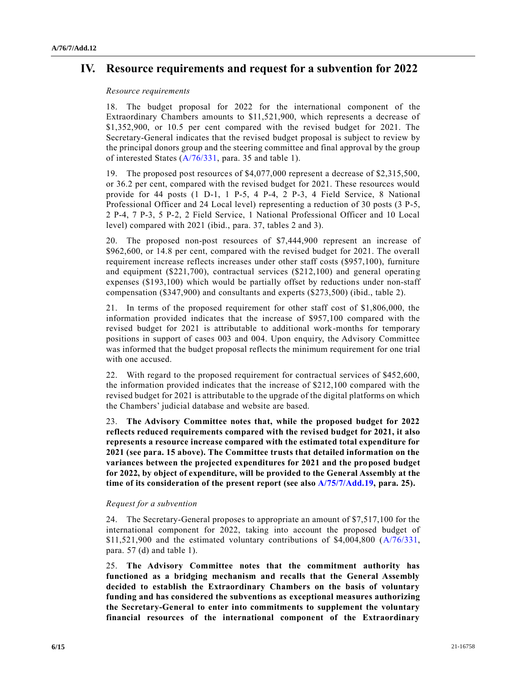# **IV. Resource requirements and request for a subvention for 2022**

### *Resource requirements*

18. The budget proposal for 2022 for the international component of the Extraordinary Chambers amounts to \$11,521,900, which represents a decrease of \$1,352,900, or 10.5 per cent compared with the revised budget for 2021. The Secretary-General indicates that the revised budget proposal is subject to review by the principal donors group and the steering committee and final approval by the group of interested States [\(A/76/331,](https://undocs.org/en/A/76/331) para. 35 and table 1).

19. The proposed post resources of \$4,077,000 represent a decrease of \$2,315,500, or 36.2 per cent, compared with the revised budget for 2021. These resources would provide for 44 posts (1 D-1, 1 P-5, 4 P-4, 2 P-3, 4 Field Service, 8 National Professional Officer and 24 Local level) representing a reduction of 30 posts (3 P-5, 2 P-4, 7 P-3, 5 P-2, 2 Field Service, 1 National Professional Officer and 10 Local level) compared with 2021 (ibid., para. 37, tables 2 and 3).

20. The proposed non-post resources of \$7,444,900 represent an increase of \$962,600, or 14.8 per cent, compared with the revised budget for 2021. The overall requirement increase reflects increases under other staff costs (\$957,100), furniture and equipment (\$221,700), contractual services (\$212,100) and general operating expenses (\$193,100) which would be partially offset by reductions under non-staff compensation (\$347,900) and consultants and experts (\$273,500) (ibid., table 2).

21. In terms of the proposed requirement for other staff cost of \$1,806,000, the information provided indicates that the increase of \$957,100 compared with the revised budget for 2021 is attributable to additional work-months for temporary positions in support of cases 003 and 004. Upon enquiry, the Advisory Committee was informed that the budget proposal reflects the minimum requirement for one trial with one accused.

22. With regard to the proposed requirement for contractual services of \$452,600, the information provided indicates that the increase of \$212,100 compared with the revised budget for 2021 is attributable to the upgrade of the digital platforms on which the Chambers' judicial database and website are based.

23. **The Advisory Committee notes that, while the proposed budget for 2022 reflects reduced requirements compared with the revised budget for 2021, it also represents a resource increase compared with the estimated total expenditure for 2021 (see para. 15 above). The Committee trusts that detailed information on the variances between the projected expenditures for 2021 and the proposed budget for 2022, by object of expenditure, will be provided to the General Assembly at the time of its consideration of the present report (see also [A/75/7/Add.19,](https://undocs.org/en/A/75/7/Add.19) para. 25).**

### *Request for a subvention*

24. The Secretary-General proposes to appropriate an amount of \$7,517,100 for the international component for 2022, taking into account the proposed budget of  $$11,521,900$  and the estimated voluntary contributions of  $$4,004,800$  ( $A/76/331$ , para. 57 (d) and table 1).

25. **The Advisory Committee notes that the commitment authority has functioned as a bridging mechanism and recalls that the General Assembly decided to establish the Extraordinary Chambers on the basis of voluntary funding and has considered the subventions as exceptional measures authorizing the Secretary-General to enter into commitments to supplement the voluntary financial resources of the international component of the Extraordinary**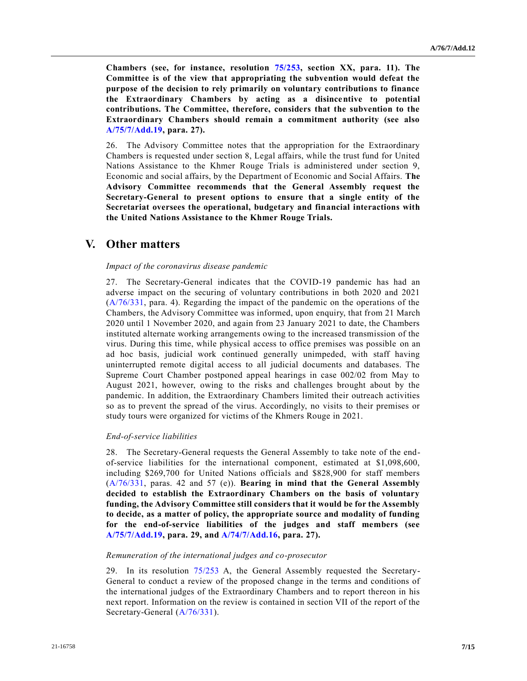**Chambers (see, for instance, resolution [75/253,](https://undocs.org/en/A/RES/75/253) section XX, para. 11). The Committee is of the view that appropriating the subvention would defeat the purpose of the decision to rely primarily on voluntary contributions to finance the Extraordinary Chambers by acting as a disincentive to potential contributions. The Committee, therefore, considers that the subvention to the Extraordinary Chambers should remain a commitment authority (see also [A/75/7/Add.19,](https://undocs.org/en/A/75/7/Add.19) para. 27).**

26. The Advisory Committee notes that the appropriation for the Extraordinary Chambers is requested under section 8, Legal affairs, while the trust fund for United Nations Assistance to the Khmer Rouge Trials is administered under section 9, Economic and social affairs, by the Department of Economic and Social Affairs. **The Advisory Committee recommends that the General Assembly request the Secretary-General to present options to ensure that a single entity of the Secretariat oversees the operational, budgetary and financial interactions with the United Nations Assistance to the Khmer Rouge Trials.**

### **V. Other matters**

#### *Impact of the coronavirus disease pandemic*

27. The Secretary-General indicates that the COVID-19 pandemic has had an adverse impact on the securing of voluntary contributions in both 2020 and 2021 [\(A/76/331,](https://undocs.org/en/A/76/331) para. 4). Regarding the impact of the pandemic on the operations of the Chambers, the Advisory Committee was informed, upon enquiry, that from 21 March 2020 until 1 November 2020, and again from 23 January 2021 to date, the Chambers instituted alternate working arrangements owing to the increased transmission of the virus. During this time, while physical access to office premises was possible on an ad hoc basis, judicial work continued generally unimpeded, with staff having uninterrupted remote digital access to all judicial documents and databases. The Supreme Court Chamber postponed appeal hearings in case 002/02 from May to August 2021, however, owing to the risks and challenges brought about by the pandemic. In addition, the Extraordinary Chambers limited their outreach activities so as to prevent the spread of the virus. Accordingly, no visits to their premises or study tours were organized for victims of the Khmers Rouge in 2021.

#### *End-of-service liabilities*

28. The Secretary-General requests the General Assembly to take note of the endof-service liabilities for the international component, estimated at \$1,098,600, including \$269,700 for United Nations officials and \$828,900 for staff members [\(A/76/331,](https://undocs.org/en/A/76/331) paras. 42 and 57 (e)). **Bearing in mind that the General Assembly decided to establish the Extraordinary Chambers on the basis of voluntary funding, the Advisory Committee still considers that it would be for the Assembly to decide, as a matter of policy, the appropriate source and modality of funding for the end-of-service liabilities of the judges and staff members (see [A/75/7/Add.19,](https://undocs.org/en/A/75/7/Add.19) para. 29, and [A/74/7/Add.16,](https://undocs.org/en/A/74/7/Add.16) para. 27).**

#### *Remuneration of the international judges and co-prosecutor*

29. In its resolution [75/253](https://undocs.org/en/A/RES/75/253) A, the General Assembly requested the Secretary-General to conduct a review of the proposed change in the terms and conditions of the international judges of the Extraordinary Chambers and to report thereon in his next report. Information on the review is contained in section VII of the report of the Secretary-General [\(A/76/331\)](https://undocs.org/en/A/76/331).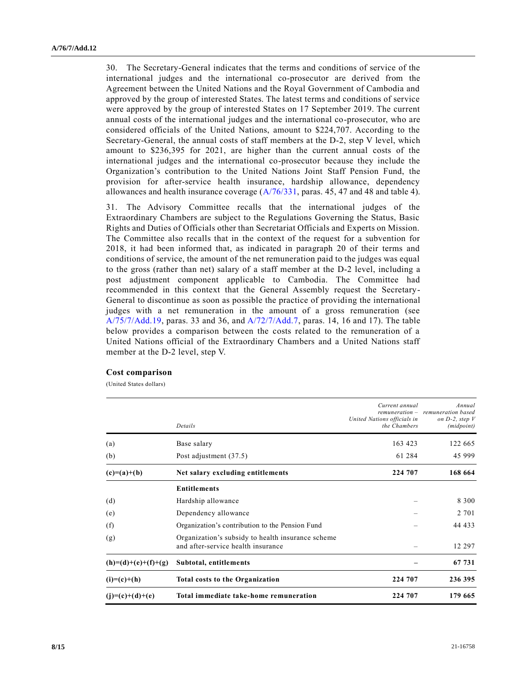30. The Secretary-General indicates that the terms and conditions of service of the international judges and the international co-prosecutor are derived from the Agreement between the United Nations and the Royal Government of Cambodia and approved by the group of interested States. The latest terms and conditions of service were approved by the group of interested States on 17 September 2019. The current annual costs of the international judges and the international co-prosecutor, who are considered officials of the United Nations, amount to \$224,707. According to the Secretary-General, the annual costs of staff members at the D-2, step V level, which amount to \$236,395 for 2021, are higher than the current annual costs of the international judges and the international co-prosecutor because they include the Organization's contribution to the United Nations Joint Staff Pension Fund, the provision for after-service health insurance, hardship allowance, dependency allowances and health insurance coverage [\(A/76/331,](https://undocs.org/en/A/76/331) paras. 45, 47 and 48 and table 4).

31. The Advisory Committee recalls that the international judges of the Extraordinary Chambers are subject to the Regulations Governing the Status, Basic Rights and Duties of Officials other than Secretariat Officials and Experts on Mission. The Committee also recalls that in the context of the request for a subvention for 2018, it had been informed that, as indicated in paragraph 20 of their terms and conditions of service, the amount of the net remuneration paid to the judges was equal to the gross (rather than net) salary of a staff member at the D-2 level, including a post adjustment component applicable to Cambodia. The Committee had recommended in this context that the General Assembly request the Secretary-General to discontinue as soon as possible the practice of providing the international judges with a net remuneration in the amount of a gross remuneration (see [A/75/7/Add.19,](https://undocs.org/en/A/75/7/Add.19) paras. 33 and 36, and [A/72/7/Add.7,](https://undocs.org/en/A/72/7/Add.7) paras. 14, 16 and 17). The table below provides a comparison between the costs related to the remuneration of a United Nations official of the Extraordinary Chambers and a United Nations staff member at the D-2 level, step V.

#### **Cost comparison**

(United States dollars)

|                       | Details                                                                                 | Current annual<br>United Nations officials in<br>the Chambers | Annual<br>remuneration - remuneration based<br>on $D-2$ , step $V$<br>(midpoint) |
|-----------------------|-----------------------------------------------------------------------------------------|---------------------------------------------------------------|----------------------------------------------------------------------------------|
| (a)                   | Base salary                                                                             | 163 423                                                       | 122 665                                                                          |
| (b)                   | Post adjustment (37.5)                                                                  | 61 284                                                        | 45 999                                                                           |
| $(c)=(a)+(b)$         | Net salary excluding entitlements                                                       | 224 707                                                       | 168 664                                                                          |
|                       | <b>Entitlements</b>                                                                     |                                                               |                                                                                  |
| (d)                   | Hardship allowance                                                                      |                                                               | 8 3 0 0                                                                          |
| (e)                   | Dependency allowance                                                                    |                                                               | 2 7 0 1                                                                          |
| (f)                   | Organization's contribution to the Pension Fund                                         |                                                               | 44 433                                                                           |
| (g)                   | Organization's subsidy to health insurance scheme<br>and after-service health insurance |                                                               | 12 297                                                                           |
| $(h)=(d)+(e)+(f)+(g)$ | Subtotal, entitlements                                                                  |                                                               | 67 731                                                                           |
| $(i)=(c)+(h)$         | <b>Total costs to the Organization</b>                                                  | 224 707                                                       | 236 395                                                                          |
| $(j)=(c)+(d)+(e)$     | Total immediate take-home remuneration                                                  | 224 707                                                       | 179 665                                                                          |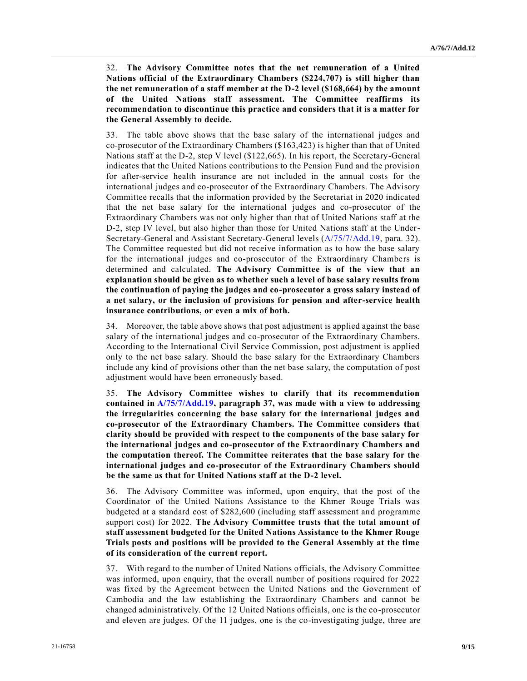32. **The Advisory Committee notes that the net remuneration of a United Nations official of the Extraordinary Chambers (\$224,707) is still higher than the net remuneration of a staff member at the D-2 level (\$168,664) by the amount of the United Nations staff assessment. The Committee reaffirms its recommendation to discontinue this practice and considers that it is a matter for the General Assembly to decide.** 

33. The table above shows that the base salary of the international judges and co-prosecutor of the Extraordinary Chambers (\$163,423) is higher than that of United Nations staff at the D-2, step V level (\$122,665). In his report, the Secretary-General indicates that the United Nations contributions to the Pension Fund and the provision for after-service health insurance are not included in the annual costs for the international judges and co-prosecutor of the Extraordinary Chambers. The Advisory Committee recalls that the information provided by the Secretariat in 2020 indicated that the net base salary for the international judges and co-prosecutor of the Extraordinary Chambers was not only higher than that of United Nations staff at the D-2, step IV level, but also higher than those for United Nations staff at the Under-Secretary-General and Assistant Secretary-General levels [\(A/75/7/Add.19,](https://undocs.org/en/A/75/7/Add.19) para. 32). The Committee requested but did not receive information as to how the base salary for the international judges and co-prosecutor of the Extraordinary Chambers is determined and calculated. **The Advisory Committee is of the view that an explanation should be given as to whether such a level of base salary results from the continuation of paying the judges and co-prosecutor a gross salary instead of a net salary, or the inclusion of provisions for pension and after-service health insurance contributions, or even a mix of both.** 

34. Moreover, the table above shows that post adjustment is applied against the base salary of the international judges and co-prosecutor of the Extraordinary Chambers. According to the International Civil Service Commission, post adjustment is applied only to the net base salary. Should the base salary for the Extraordinary Chambers include any kind of provisions other than the net base salary, the computation of post adjustment would have been erroneously based.

35. **The Advisory Committee wishes to clarify that its recommendation contained in [A/75/7/Add.19,](https://undocs.org/en/A/75/7/Add.19) paragraph 37, was made with a view to addressing the irregularities concerning the base salary for the international judges and co-prosecutor of the Extraordinary Chambers. The Committee considers that clarity should be provided with respect to the components of the base salary for the international judges and co-prosecutor of the Extraordinary Chambers and the computation thereof. The Committee reiterates that the base salary for the international judges and co-prosecutor of the Extraordinary Chambers should be the same as that for United Nations staff at the D-2 level.**

36. The Advisory Committee was informed, upon enquiry, that the post of the Coordinator of the United Nations Assistance to the Khmer Rouge Trials was budgeted at a standard cost of \$282,600 (including staff assessment and programme support cost) for 2022. **The Advisory Committee trusts that the total amount of staff assessment budgeted for the United Nations Assistance to the Khmer Rouge Trials posts and positions will be provided to the General Assembly at the time of its consideration of the current report.**

37. With regard to the number of United Nations officials, the Advisory Committee was informed, upon enquiry, that the overall number of positions required for 2022 was fixed by the Agreement between the United Nations and the Government of Cambodia and the law establishing the Extraordinary Chambers and cannot be changed administratively. Of the 12 United Nations officials, one is the co-prosecutor and eleven are judges. Of the 11 judges, one is the co-investigating judge, three are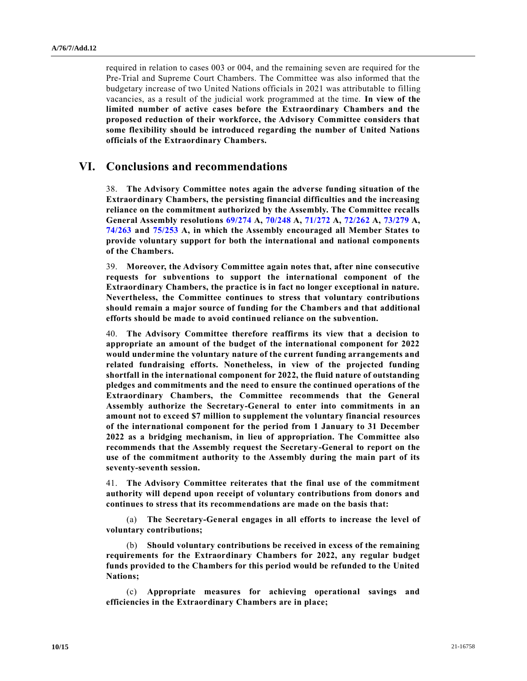required in relation to cases 003 or 004, and the remaining seven are required for the Pre-Trial and Supreme Court Chambers. The Committee was also informed that the budgetary increase of two United Nations officials in 2021 was attributable to filling vacancies, as a result of the judicial work programmed at the time. **In view of the limited number of active cases before the Extraordinary Chambers and the proposed reduction of their workforce, the Advisory Committee considers that some flexibility should be introduced regarding the number of United Nations officials of the Extraordinary Chambers.**

### **VI. Conclusions and recommendations**

38. **The Advisory Committee notes again the adverse funding situation of the Extraordinary Chambers, the persisting financial difficulties and the increasing reliance on the commitment authorized by the Assembly. The Committee recalls General Assembly resolutions [69/274](https://undocs.org/en/A/RES/69/274) A, [70/248](https://undocs.org/en/A/RES/70/248) A, [71/272](https://undocs.org/en/A/RES/71/272) A, [72/262](https://undocs.org/en/A/RES/72/262) A, [73/279](https://undocs.org/en/A/RES/73/279) A, [74/263](https://undocs.org/en/A/RES/74/263) and [75/253](https://undocs.org/en/A/RES/75/253) A, in which the Assembly encouraged all Member States to provide voluntary support for both the international and national components of the Chambers.**

39. **Moreover, the Advisory Committee again notes that, after nine consecutive requests for subventions to support the international component of the Extraordinary Chambers, the practice is in fact no longer exceptional in nature. Nevertheless, the Committee continues to stress that voluntary contributions should remain a major source of funding for the Chambers and that additional efforts should be made to avoid continued reliance on the subvention.**

40. **The Advisory Committee therefore reaffirms its view that a decision to appropriate an amount of the budget of the international component for 2022 would undermine the voluntary nature of the current funding arrangements and related fundraising efforts. Nonetheless, in view of the projected funding shortfall in the international component for 2022, the fluid nature of outstanding pledges and commitments and the need to ensure the continued operations of the Extraordinary Chambers, the Committee recommends that the General Assembly authorize the Secretary-General to enter into commitments in an amount not to exceed \$7 million to supplement the voluntary financial resources of the international component for the period from 1 January to 31 December 2022 as a bridging mechanism, in lieu of appropriation. The Committee also recommends that the Assembly request the Secretary-General to report on the use of the commitment authority to the Assembly during the main part of its seventy-seventh session.**

41. **The Advisory Committee reiterates that the final use of the commitment authority will depend upon receipt of voluntary contributions from donors and continues to stress that its recommendations are made on the basis that:**

(a) **The Secretary-General engages in all efforts to increase the level of voluntary contributions;**

(b) **Should voluntary contributions be received in excess of the remaining requirements for the Extraordinary Chambers for 2022, any regular budget funds provided to the Chambers for this period would be refunded to the United Nations;**

(c) **Appropriate measures for achieving operational savings and efficiencies in the Extraordinary Chambers are in place;**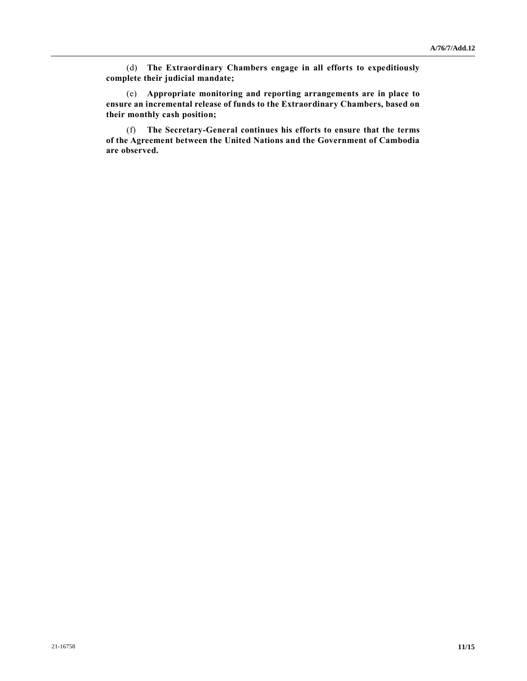(d) **The Extraordinary Chambers engage in all efforts to expeditiously complete their judicial mandate;**

(e) **Appropriate monitoring and reporting arrangements are in place to ensure an incremental release of funds to the Extraordinary Chambers, based on their monthly cash position;** 

(f) **The Secretary-General continues his efforts to ensure that the terms of the Agreement between the United Nations and the Government of Cambodia are observed.**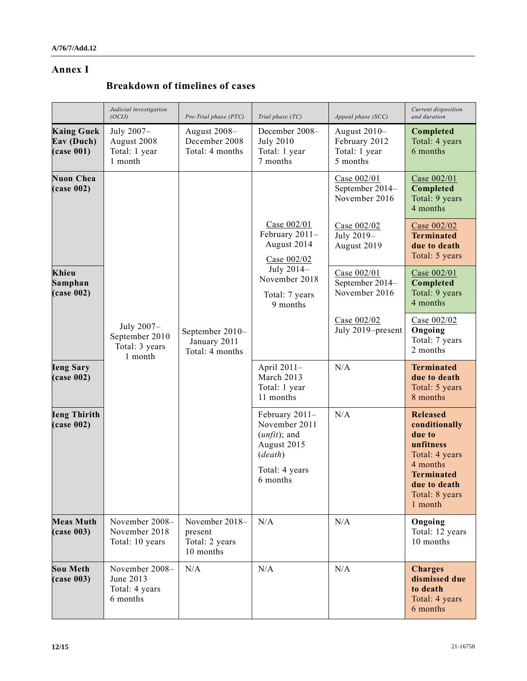### **Annex I**

# **Breakdown of timelines of cases**

|                                                         | Judicial investigation<br>(OCIJ)                          | $Pre-Trial phase (PTC)$                                  | Trial phase (TC)                                                                                                 | Appeal phase (SCC)                                           | Current disposition<br>and duration                                                                                                                     |
|---------------------------------------------------------|-----------------------------------------------------------|----------------------------------------------------------|------------------------------------------------------------------------------------------------------------------|--------------------------------------------------------------|---------------------------------------------------------------------------------------------------------------------------------------------------------|
| <b>Kaing Guek</b><br>Eav (Duch)<br>$(\text{case } 001)$ | July 2007-<br>August 2008<br>Total: 1 year<br>1 month     | August 2008-<br>December 2008<br>Total: 4 months         | December 2008-<br><b>July 2010</b><br>Total: 1 year<br>7 months                                                  | August $2010-$<br>February 2012<br>Total: 1 year<br>5 months | Completed<br>Total: 4 years<br>6 months                                                                                                                 |
| <b>Nuon Chea</b><br>$(\text{case } 002)$                |                                                           |                                                          |                                                                                                                  | Case $002/01$<br>September 2014-<br>November 2016            | Case 002/01<br>Completed<br>Total: 9 years<br>4 months                                                                                                  |
|                                                         |                                                           |                                                          | Case $002/01$<br>February 2011-<br>August 2014<br>Case $002/02$                                                  | Case 002/02<br>July 2019-<br>August 2019                     | Case 002/02<br><b>Terminated</b><br>due to death<br>Total: 5 years                                                                                      |
| Khieu<br>Samphan<br>$(\text{case } 002)$                |                                                           |                                                          | July 2014-<br>November 2018<br>Total: 7 years<br>9 months                                                        | Case 002/01<br>September 2014-<br>November 2016              | Case 002/01<br>Completed<br>Total: 9 years<br>4 months                                                                                                  |
|                                                         | July 2007-<br>September 2010<br>Total: 3 years<br>1 month | September 2010-<br>January 2011<br>Total: 4 months       |                                                                                                                  | Case 002/02<br>July 2019-present                             | Case 002/02<br>Ongoing<br>Total: 7 years<br>2 months                                                                                                    |
| <b>Ieng Sary</b><br>$(\text{case } 002)$                |                                                           |                                                          | April 2011-<br>March 2013<br>Total: 1 year<br>11 months                                                          | N/A                                                          | <b>Terminated</b><br>due to death<br>Total: 5 years<br>8 months                                                                                         |
| <b>Ieng Thirith</b><br>$(\text{case } 002)$             |                                                           |                                                          | February 2011-<br>November 2011<br>$(unfit)$ ; and<br>August 2015<br>$(d\neq ath)$<br>Total: 4 years<br>6 months | N/A                                                          | <b>Released</b><br>conditionally<br>due to<br>unfitness<br>Total: 4 years<br>4 months<br><b>Terminated</b><br>due to death<br>Total: 8 years<br>1 month |
| <b>Meas Muth</b><br>$(\text{case } 003)$                | November 2008-<br>November 2018<br>Total: 10 years        | November 2018-<br>present<br>Total: 2 years<br>10 months | N/A                                                                                                              | N/A                                                          | Ongoing<br>Total: 12 years<br>10 months                                                                                                                 |
| <b>Sou Meth</b><br>$(\text{case } 003)$                 | November 2008-<br>June 2013<br>Total: 4 years<br>6 months | N/A                                                      | N/A                                                                                                              | N/A                                                          | <b>Charges</b><br>dismissed due<br>to death<br>Total: 4 years<br>6 months                                                                               |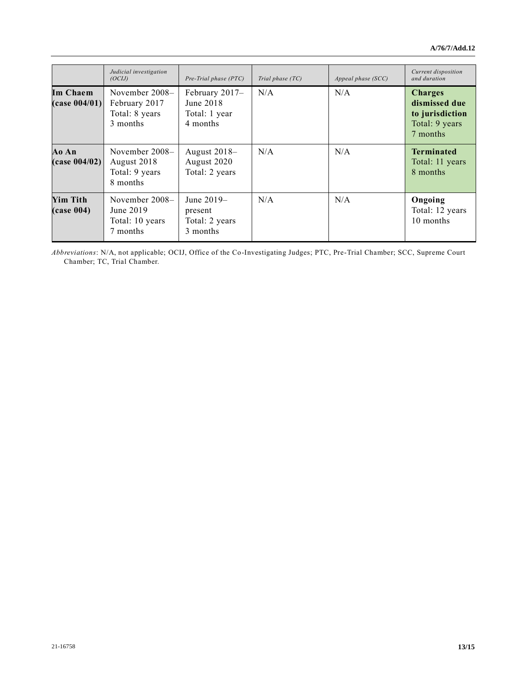|                                         | Judicial investigation<br>(OCIJ)                                | Pre-Trial phase (PTC)                                    | Trial phase $(TC)$ | Appeal phase $(SCC)$ | Current disposition<br>and duration                                              |
|-----------------------------------------|-----------------------------------------------------------------|----------------------------------------------------------|--------------------|----------------------|----------------------------------------------------------------------------------|
| Im Chaem<br>(case 004/01)               | November $2008-$<br>February 2017<br>Total: 8 years<br>3 months | February 2017-<br>June 2018<br>Total: 1 year<br>4 months | N/A                | N/A                  | <b>Charges</b><br>dismissed due<br>to jurisdiction<br>Total: 9 years<br>7 months |
| Ao An<br>(case 004/02)                  | November $2008-$<br>August 2018<br>Total: 9 years<br>8 months   | August 2018–<br>August 2020<br>Total: 2 years            | N/A                | N/A                  | <b>Terminated</b><br>Total: 11 years<br>8 months                                 |
| <b>Yim Tith</b><br>$(\text{case } 004)$ | November 2008-<br>June 2019<br>Total: 10 years<br>7 months      | June 2019–<br>present<br>Total: 2 years<br>3 months      | N/A                | N/A                  | Ongoing<br>Total: 12 years<br>10 months                                          |

*Abbreviations*: N/A, not applicable; OCIJ, Office of the Co-Investigating Judges; PTC, Pre-Trial Chamber; SCC, Supreme Court Chamber; TC, Trial Chamber.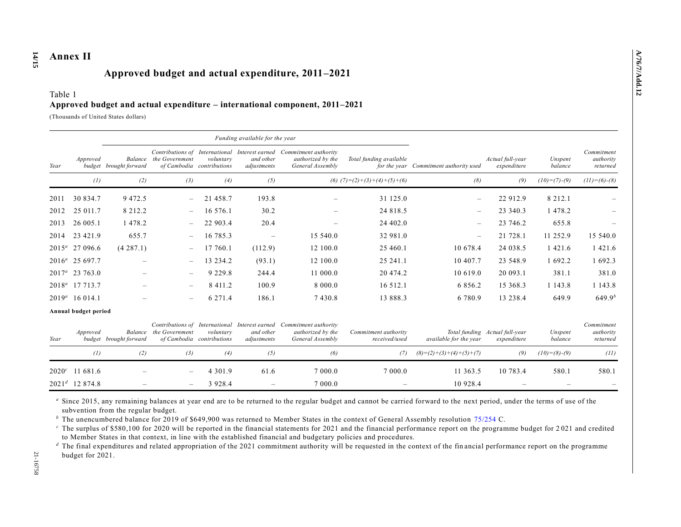# **Annex II Approved budget and actual expenditure, 2011–2021**

### Table 1 **Approved budget and actual expenditure – international component, 2011–2021**

(Thousands of United States dollars)

|          |                            | Funding available for the year |                                                  |                                        |                                             |                                                                                                              |                                       |                                        |                                               |                    |                                     |
|----------|----------------------------|--------------------------------|--------------------------------------------------|----------------------------------------|---------------------------------------------|--------------------------------------------------------------------------------------------------------------|---------------------------------------|----------------------------------------|-----------------------------------------------|--------------------|-------------------------------------|
| Year     | Approved                   | budget brought forward         | Balance the Government                           | voluntary<br>of Cambodia contributions | and other<br>adjustments                    | Contributions of International Interest earned Commitment authority<br>authorized by the<br>General Assembly | Total funding available               | for the year Commitment authority used | Actual full-year<br>expenditure               | Unspent<br>balance | Commitment<br>authority<br>returned |
|          | (1)                        | (2)                            | (3)                                              | (4)                                    | (5)                                         |                                                                                                              | (6) $(7)=(2)+(3)+(4)+(5)+(6)$         | (8)                                    | (9)                                           | $(10)= (7)-(9)$    | $(11) = (6) - (8)$                  |
| 2011     | 30 834.7                   | 9 4 7 2 . 5                    | $\qquad \qquad -$                                | 21 458.7                               | 193.8                                       |                                                                                                              | 31 125.0                              | $\overline{\phantom{m}}$               | 22 912.9                                      | 8 2 1 2 . 1        |                                     |
| 2012     | 25 011.7                   | 8 2 1 2 . 2                    | $\qquad \qquad -$                                | 16 576.1                               | 30.2                                        |                                                                                                              | 24 818.5                              | $\overline{\phantom{m}}$               | 23 340.3                                      | 1 478.2            |                                     |
| 2013     | 26 005.1                   | 1 478.2                        | $\qquad \qquad -$                                | 22 903.4                               | 20.4                                        | $\overline{\phantom{0}}$                                                                                     | 24 402.0                              | $\overline{\phantom{m}}$               | 23 746.2                                      | 655.8              |                                     |
| 2014     | 23 421.9                   | 655.7                          | $\qquad \qquad -$                                | 16 785.3                               | $\overline{\phantom{m}}$                    | 15 540.0                                                                                                     | 32 981.0                              | $\overline{\phantom{m}}$               | 21 728.1                                      | 11 252.9           | 15 540.0                            |
| $2015^a$ | 27 096.6                   | (4287.1)                       | $\overline{\phantom{a}}$                         | 17 760.1                               | (112.9)                                     | 12 100.0                                                                                                     | 25 460.1                              | 10 678.4                               | 24 038.5                                      | 1 4 2 1 .6         | 1 4 2 1 .6                          |
|          | $2016^a$ 25 697.7          |                                | ÷,                                               | 13 234.2                               | (93.1)                                      | 12 100.0                                                                                                     | 25 241.1                              | 10 407.7                               | 23 548.9                                      | 1 692.2            | 1 692.3                             |
|          | $2017^a$ 23 763.0          |                                | $\qquad \qquad -$                                | 9 2 2 9 . 8                            | 244.4                                       | 11 000.0                                                                                                     | 20 474.2                              | 10 619.0                               | 20 093.1                                      | 381.1              | 381.0                               |
|          | 2018 <sup>a</sup> 17 713.7 |                                | $\qquad \qquad -$                                | 8 4 1 1 . 2                            | 100.9                                       | 8 000.0                                                                                                      | 16 5 12.1                             | 6 8 5 6 . 2                            | 15 368.3                                      | 1 1 4 3 . 8        | 1 1 4 3 . 8                         |
|          | $2019^a$ 16 014.1          |                                | $\overline{\phantom{0}}$                         | 6 2 7 1 .4                             | 186.1                                       | 7430.8                                                                                                       | 13 888.3                              | 6 780.9                                | 13 238.4                                      | 649.9              | $649.9^{b}$                         |
|          | Annual budget period       |                                |                                                  |                                        |                                             |                                                                                                              |                                       |                                        |                                               |                    |                                     |
| Year     | Approved<br>budget         | Balance<br>brought forward     | Contributions of International<br>the Government | voluntary<br>of Cambodia contributions | Interest earned<br>and other<br>adjustments | Commitment authority<br>authorized by the<br>General Assembly                                                | Commitment authority<br>received/used | available for the year                 | Total funding Actual full-year<br>expenditure | Unspent<br>balance | Commitment<br>authority<br>returned |
|          | (1)                        | (2)                            | (3)                                              | (4)                                    | (5)                                         | (6)                                                                                                          | (7)                                   | $(8)=(2)+(3)+(4)+(5)+(7)$              | (9)                                           | $(10)= (8)-(9)$    | (11)                                |
| $2020^c$ | 11 681.6                   |                                | $\overline{\phantom{0}}$                         | 4 3 0 1 .9                             | 61.6                                        | 7 000.0                                                                                                      | 7 000.0                               | 11 363.5                               | 10 783.4                                      | 580.1              | 580.1                               |
|          | $2021^d$ 12 874.8          |                                | $\overline{\phantom{0}}$                         | 3 9 2 8 . 4                            | $\overline{\phantom{0}}$                    | 7 000.0                                                                                                      |                                       | 10 928.4                               |                                               |                    |                                     |

<sup>a</sup> Since 2015, any remaining balances at year end are to be returned to the regular budget and cannot be carried forward to the next period, under the terms of use of the subvention from the regular budget.

*<sup>b</sup>* The unencumbered balance for 2019 of \$649,900 was returned to Member States in the context of General Assembly resolution [75/254](https://undocs.org/en/A/RES/75/254a-c) C.

*<sup>c</sup>* The surplus of \$580,100 for 2020 will be reported in the financial statements for 2021 and the financial performance report on the programme budget for 2 021 and credited to Member States in that context, in line with the established financial and budgetary policies and procedures.

<sup>*d*</sup> The final expenditures and related appropriation of the 2021 commitment authority will be requested in the context of the fin ancial performance report on the programme budget for 2021.